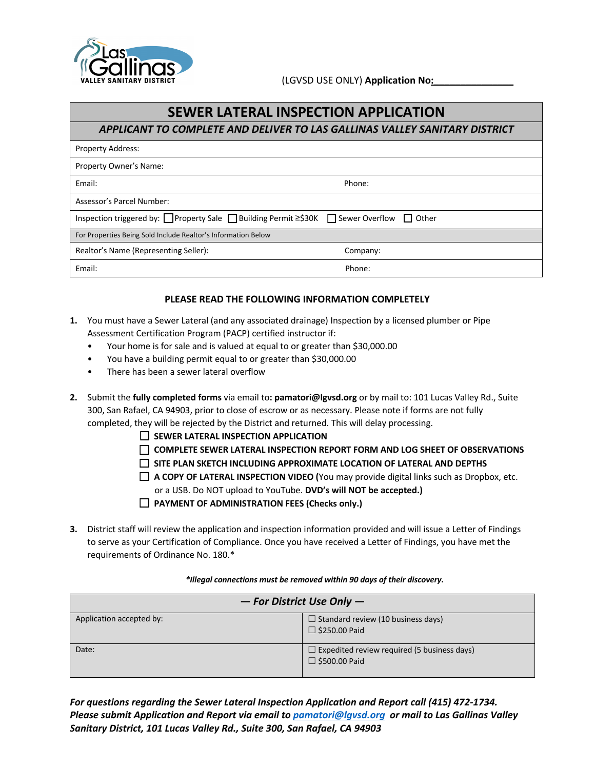

## **SEWER LATERAL INSPECTION APPLICATION**

*APPLICANT TO COMPLETE AND DELIVER TO LAS GALLINAS VALLEY SANITARY DISTRICT*

| <b>Property Address:</b>                                                             |          |  |  |  |
|--------------------------------------------------------------------------------------|----------|--|--|--|
| Property Owner's Name:                                                               |          |  |  |  |
| Email:                                                                               | Phone:   |  |  |  |
| Assessor's Parcel Number:                                                            |          |  |  |  |
| Inspection triggered by: OProperty Sale Building Permit ≥\$30K Sewer Overflow Dother |          |  |  |  |
| For Properties Being Sold Include Realtor's Information Below                        |          |  |  |  |
| Realtor's Name (Representing Seller):                                                | Company: |  |  |  |
| Email:                                                                               | Phone:   |  |  |  |

#### **PLEASE READ THE FOLLOWING INFORMATION COMPLETELY**

- **1.** You must have a Sewer Lateral (and any associated drainage) Inspection by a licensed plumber or Pipe Assessment Certification Program (PACP) certified instructor if:
	- Your home is for sale and is valued at equal to or greater than \$30,000.00
	- You have a building permit equal to or greater than \$30,000.00
	- There has been a sewer lateral overflow
- **2.** Submit the **fully completed forms** via email to**: pamatori@lgvsd.org** or by mail to: 101 Lucas Valley Rd., Suite 300, San Rafael, CA 94903, prior to close of escrow or as necessary. Please note if forms are not fully completed, they will be rejected by the District and returned. This will delay processing.
	- ☐ **SEWER LATERAL INSPECTION APPLICATION**
	- ☐ **COMPLETE SEWER LATERAL INSPECTION REPORT FORM AND LOG SHEET OF OBSERVATIONS**
	- ☐ **SITE PLAN SKETCH INCLUDING APPROXIMATE LOCATION OF LATERAL AND DEPTHS**
	- ☐ **A COPY OF LATERAL INSPECTION VIDEO (**You may provide digital links such as Dropbox, etc. or a USB. Do NOT upload to YouTube. **DVD's will NOT be accepted.)**
	- ☐ **PAYMENT OF ADMINISTRATION FEES (Checks only.)**
- **3.** District staff will review the application and inspection information provided and will issue a Letter of Findings to serve as your Certification of Compliance. Once you have received a Letter of Findings, you have met the requirements of Ordinance No. 180.\*

#### *\*Illegal connections must be removed within 90 days of their discovery.*

| $-$ For District Use Only $-$ |                                                    |  |  |  |
|-------------------------------|----------------------------------------------------|--|--|--|
| Application accepted by:      | $\Box$ Standard review (10 business days)          |  |  |  |
|                               | $\Box$ \$250.00 Paid                               |  |  |  |
| Date:                         | $\Box$ Expedited review required (5 business days) |  |  |  |
|                               | $\Box$ \$500.00 Paid                               |  |  |  |

*For questions regarding the Sewer Lateral Inspection Application and Report call (415) 472-1734. Please submit Application and Report via email to pamatori@lgvsd.org or mail to Las Gallinas Valley Sanitary District, 101 Lucas Valley Rd., Suite 300, San Rafael, CA 94903*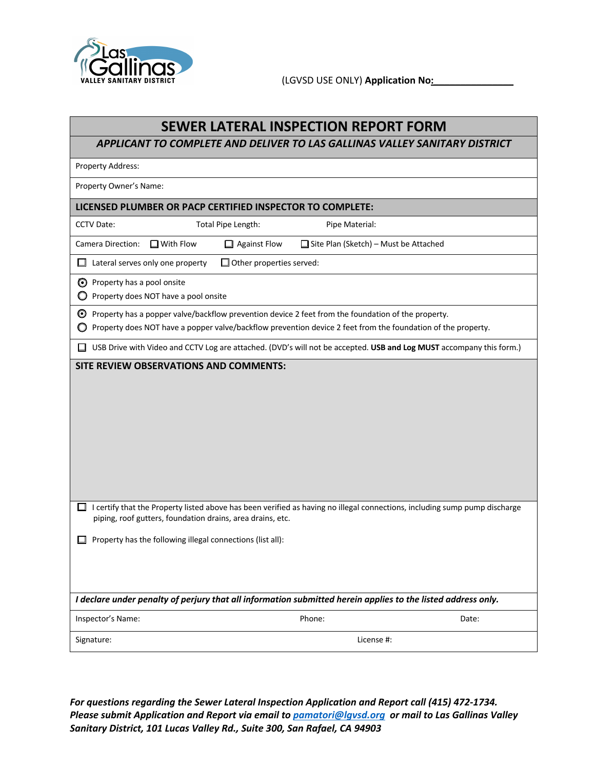

(LGVSD USE ONLY) **Application No:\_\_\_\_\_\_\_\_\_\_\_\_\_\_\_**

*APPLICANT TO COMPLETE AND DELIVER TO LAS GALLINAS VALLEY SANITARY DISTRICT*

Property Address:

Property Owner's Name:

#### **LICENSED PLUMBER OR PACP CERTIFIED INSPECTOR TO COMPLETE:**

Total Pipe Length: Pipe Material:

Camera Direction: ☐ With Flow ☐ Against Flow ☐ Site Plan (Sketch) – Must be Attached

☐ Lateral serves only one property ☐ Other properties served:

**◯** Property has a pool onsite

O Property does NOT have a pool onsite

☐ Property has a popper valve/backflow prevention device 2 feet from the foundation of the property.

◯ Property does NOT have a popper valve/backflow prevention device 2 feet from the foundation of the property.

☐ USB Drive with Video and CCTV Log are attached. (DVD's will not be accepted. **USB and Log MUST** accompany this form.)

#### **SITE REVIEW OBSERVATIONS AND COMMENTS:**

 $\Box$  I certify that the Property listed above has been verified as having no illegal connections, including sump pump discharge piping, roof gutters, foundation drains, area drains, etc.

□ Property has the following illegal connections (list all):

*I declare under penalty of perjury that all information submitted herein applies to the listed address only.*

Inspector's Name: Date: Date: Phone: Phone: Phone: Date: Date: Date: Date: Phone: Date: Date: Date: Phone: Phone: Date: Date: Date: Phone: Phone: Phone: Phone: Phone: Phone: Phone: Phone: Phone: Phone: Phone: Phone: Phone:

Signature: License #:

*For questions regarding the Sewer Lateral Inspection Application and Report call (415) 472-1734. Please submit Application and Report via email to pamatori@lgvsd.org or mail to Las Gallinas Valley Sanitary District, 101 Lucas Valley Rd., Suite 300, San Rafael, CA 94903*